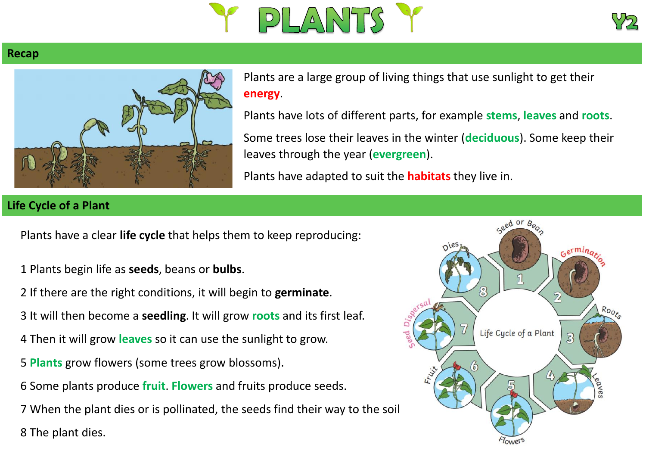



## **Recap**



Plants are a large group of living things that use sunlight to get their **energy**.

Plants have lots of different parts, for example **stems**, **leaves** and **roots**. Some trees lose their leaves in the winter (**deciduous**). Some keep their leaves through the year (**evergreen**).

Plants have adapted to suit the **habitats** they live in.

## **Life Cycle of a Plant**

Plants have a clear **life cycle** that helps them to keep reproducing:

- 1 Plants begin life as **seeds**, beans or **bulbs**.
- 2 If there are the right conditions, it will begin to **germinate**.
- 3 It will then become a **seedling**. It will grow **roots** and its first leaf.
- 4 Then it will grow **leaves** so it can use the sunlight to grow.
- 5 **Plants** grow flowers (some trees grow blossoms).
- 6 Some plants produce **fruit**. **Flowers** and fruits produce seeds.

7 When the plant dies or is pollinated, the seeds find their way to the soil. 8 The plant dies.